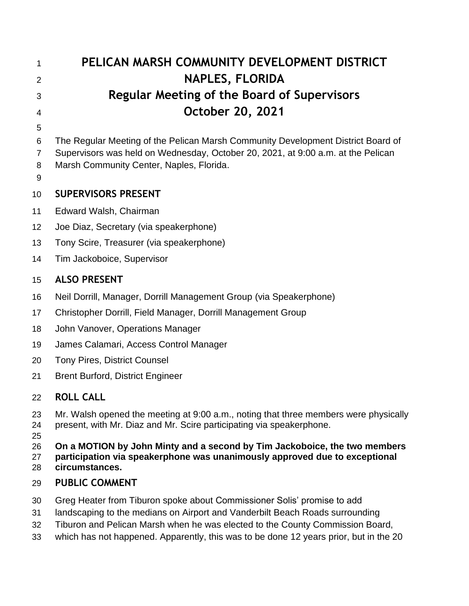| 1                   | PELICAN MARSH COMMUNITY DEVELOPMENT DISTRICT                                                                                                                              |
|---------------------|---------------------------------------------------------------------------------------------------------------------------------------------------------------------------|
| 2                   | <b>NAPLES, FLORIDA</b>                                                                                                                                                    |
| 3                   | <b>Regular Meeting of the Board of Supervisors</b>                                                                                                                        |
| 4                   | October 20, 2021                                                                                                                                                          |
| 5                   |                                                                                                                                                                           |
| 6                   | The Regular Meeting of the Pelican Marsh Community Development District Board of                                                                                          |
| $\overline{7}$<br>8 | Supervisors was held on Wednesday, October 20, 2021, at 9:00 a.m. at the Pelican<br>Marsh Community Center, Naples, Florida.                                              |
| 9                   |                                                                                                                                                                           |
| 10                  | <b>SUPERVISORS PRESENT</b>                                                                                                                                                |
| 11                  | Edward Walsh, Chairman                                                                                                                                                    |
| 12                  | Joe Diaz, Secretary (via speakerphone)                                                                                                                                    |
| 13                  | Tony Scire, Treasurer (via speakerphone)                                                                                                                                  |
| 14                  | Tim Jackoboice, Supervisor                                                                                                                                                |
| 15                  | <b>ALSO PRESENT</b>                                                                                                                                                       |
| 16                  | Neil Dorrill, Manager, Dorrill Management Group (via Speakerphone)                                                                                                        |
| 17                  | Christopher Dorrill, Field Manager, Dorrill Management Group                                                                                                              |
| 18                  | John Vanover, Operations Manager                                                                                                                                          |
| 19                  | James Calamari, Access Control Manager                                                                                                                                    |
| 20                  | <b>Tony Pires, District Counsel</b>                                                                                                                                       |
| 21                  | <b>Brent Burford, District Engineer</b>                                                                                                                                   |
| 22                  | <b>ROLL CALL</b>                                                                                                                                                          |
| 23<br>24<br>25      | Mr. Walsh opened the meeting at 9:00 a.m., noting that three members were physically<br>present, with Mr. Diaz and Mr. Scire participating via speakerphone.              |
| 26<br>27<br>28      | On a MOTION by John Minty and a second by Tim Jackoboice, the two members<br>participation via speakerphone was unanimously approved due to exceptional<br>circumstances. |
| 29                  | <b>PUBLIC COMMENT</b>                                                                                                                                                     |
| 30                  | Greg Heater from Tiburon spoke about Commissioner Solis' promise to add                                                                                                   |
| 31                  | landscaping to the medians on Airport and Vanderbilt Beach Roads surrounding                                                                                              |
| 32<br>33            | Tiburon and Pelican Marsh when he was elected to the County Commission Board,<br>which has not happened. Apparently, this was to be done 12 years prior, but in the 20    |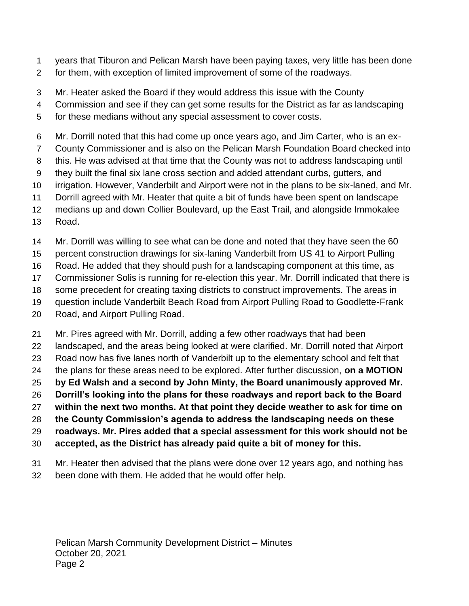- years that Tiburon and Pelican Marsh have been paying taxes, very little has been done
- for them, with exception of limited improvement of some of the roadways.
- Mr. Heater asked the Board if they would address this issue with the County
- Commission and see if they can get some results for the District as far as landscaping
- for these medians without any special assessment to cover costs.
- Mr. Dorrill noted that this had come up once years ago, and Jim Carter, who is an ex-
- County Commissioner and is also on the Pelican Marsh Foundation Board checked into
- this. He was advised at that time that the County was not to address landscaping until
- they built the final six lane cross section and added attendant curbs, gutters, and
- irrigation. However, Vanderbilt and Airport were not in the plans to be six-laned, and Mr.
- Dorrill agreed with Mr. Heater that quite a bit of funds have been spent on landscape
- medians up and down Collier Boulevard, up the East Trail, and alongside Immokalee
- Road.
- Mr. Dorrill was willing to see what can be done and noted that they have seen the 60
- percent construction drawings for six-laning Vanderbilt from US 41 to Airport Pulling
- Road. He added that they should push for a landscaping component at this time, as
- Commissioner Solis is running for re-election this year. Mr. Dorrill indicated that there is
- some precedent for creating taxing districts to construct improvements. The areas in
- question include Vanderbilt Beach Road from Airport Pulling Road to Goodlette-Frank
- Road, and Airport Pulling Road.
- Mr. Pires agreed with Mr. Dorrill, adding a few other roadways that had been
- landscaped, and the areas being looked at were clarified. Mr. Dorrill noted that Airport
- Road now has five lanes north of Vanderbilt up to the elementary school and felt that
- the plans for these areas need to be explored. After further discussion, **on a MOTION**
- **by Ed Walsh and a second by John Minty, the Board unanimously approved Mr.**
- **Dorrill's looking into the plans for these roadways and report back to the Board**
- **within the next two months. At that point they decide weather to ask for time on**
- **the County Commission's agenda to address the landscaping needs on these**
- **roadways. Mr. Pires added that a special assessment for this work should not be**
- **accepted, as the District has already paid quite a bit of money for this.**
- Mr. Heater then advised that the plans were done over 12 years ago, and nothing has
- been done with them. He added that he would offer help.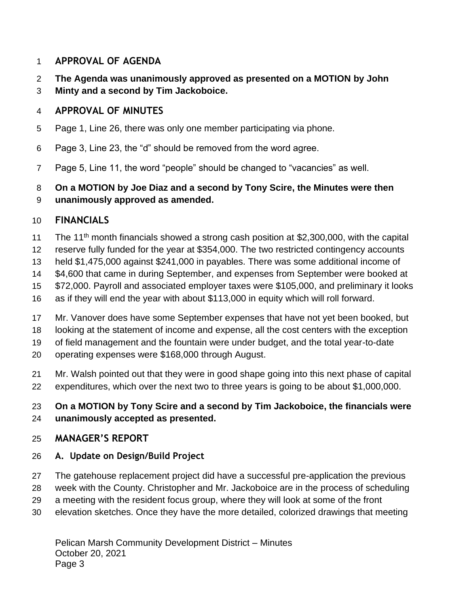#### **APPROVAL OF AGENDA**

- **The Agenda was unanimously approved as presented on a MOTION by John**
- **Minty and a second by Tim Jackoboice.**

### **APPROVAL OF MINUTES**

- Page 1, Line 26, there was only one member participating via phone.
- Page 3, Line 23, the "d" should be removed from the word agree.
- Page 5, Line 11, the word "people" should be changed to "vacancies" as well.

#### **On a MOTION by Joe Diaz and a second by Tony Scire, the Minutes were then unanimously approved as amended.**

# **FINANCIALS**

- 11 The 11<sup>th</sup> month financials showed a strong cash position at \$2,300,000, with the capital
- reserve fully funded for the year at \$354,000. The two restricted contingency accounts
- held \$1,475,000 against \$241,000 in payables. There was some additional income of
- \$4,600 that came in during September, and expenses from September were booked at
- \$72,000. Payroll and associated employer taxes were \$105,000, and preliminary it looks
- as if they will end the year with about \$113,000 in equity which will roll forward.
- Mr. Vanover does have some September expenses that have not yet been booked, but
- looking at the statement of income and expense, all the cost centers with the exception
- of field management and the fountain were under budget, and the total year-to-date
- operating expenses were \$168,000 through August.
- Mr. Walsh pointed out that they were in good shape going into this next phase of capital expenditures, which over the next two to three years is going to be about \$1,000,000.

### **On a MOTION by Tony Scire and a second by Tim Jackoboice, the financials were unanimously accepted as presented.**

# **MANAGER'S REPORT**

# **A. Update on Design/Build Project**

- The gatehouse replacement project did have a successful pre-application the previous
- week with the County. Christopher and Mr. Jackoboice are in the process of scheduling
- a meeting with the resident focus group, where they will look at some of the front
- elevation sketches. Once they have the more detailed, colorized drawings that meeting

Pelican Marsh Community Development District – Minutes October 20, 2021 Page 3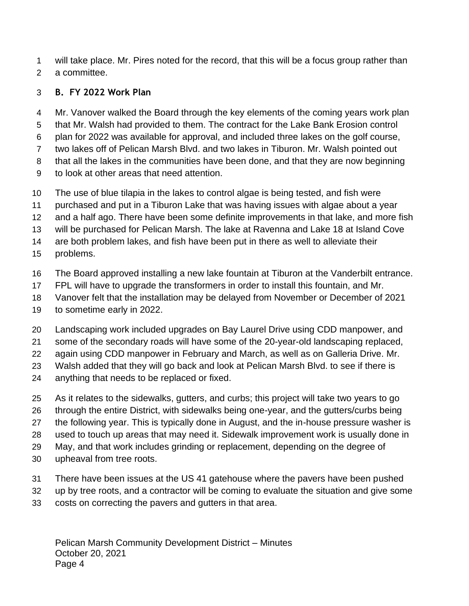will take place. Mr. Pires noted for the record, that this will be a focus group rather than a committee.

#### **B. FY 2022 Work Plan**

 Mr. Vanover walked the Board through the key elements of the coming years work plan that Mr. Walsh had provided to them. The contract for the Lake Bank Erosion control plan for 2022 was available for approval, and included three lakes on the golf course, two lakes off of Pelican Marsh Blvd. and two lakes in Tiburon. Mr. Walsh pointed out that all the lakes in the communities have been done, and that they are now beginning to look at other areas that need attention.

- 
- The use of blue tilapia in the lakes to control algae is being tested, and fish were
- purchased and put in a Tiburon Lake that was having issues with algae about a year
- and a half ago. There have been some definite improvements in that lake, and more fish
- will be purchased for Pelican Marsh. The lake at Ravenna and Lake 18 at Island Cove
- are both problem lakes, and fish have been put in there as well to alleviate their
- problems.
- The Board approved installing a new lake fountain at Tiburon at the Vanderbilt entrance.
- FPL will have to upgrade the transformers in order to install this fountain, and Mr.
- Vanover felt that the installation may be delayed from November or December of 2021
- to sometime early in 2022.
- Landscaping work included upgrades on Bay Laurel Drive using CDD manpower, and
- some of the secondary roads will have some of the 20-year-old landscaping replaced,
- again using CDD manpower in February and March, as well as on Galleria Drive. Mr.
- Walsh added that they will go back and look at Pelican Marsh Blvd. to see if there is
- anything that needs to be replaced or fixed.
- As it relates to the sidewalks, gutters, and curbs; this project will take two years to go
- through the entire District, with sidewalks being one-year, and the gutters/curbs being
- the following year. This is typically done in August, and the in-house pressure washer is
- used to touch up areas that may need it. Sidewalk improvement work is usually done in
- May, and that work includes grinding or replacement, depending on the degree of
- upheaval from tree roots.
- There have been issues at the US 41 gatehouse where the pavers have been pushed
- up by tree roots, and a contractor will be coming to evaluate the situation and give some
- costs on correcting the pavers and gutters in that area.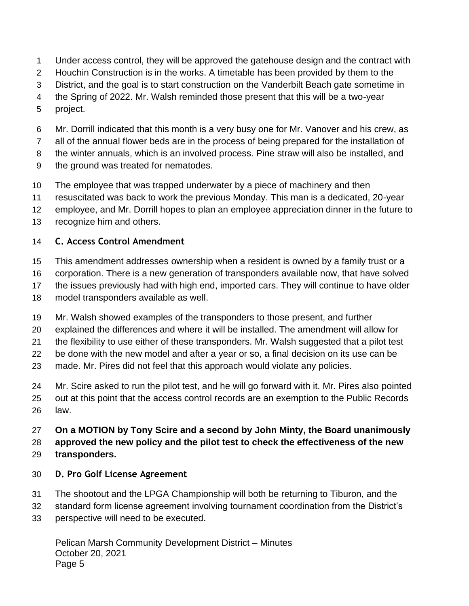- Under access control, they will be approved the gatehouse design and the contract with
- Houchin Construction is in the works. A timetable has been provided by them to the
- District, and the goal is to start construction on the Vanderbilt Beach gate sometime in
- the Spring of 2022. Mr. Walsh reminded those present that this will be a two-year
- project.
- Mr. Dorrill indicated that this month is a very busy one for Mr. Vanover and his crew, as
- all of the annual flower beds are in the process of being prepared for the installation of
- the winter annuals, which is an involved process. Pine straw will also be installed, and
- the ground was treated for nematodes.
- The employee that was trapped underwater by a piece of machinery and then
- resuscitated was back to work the previous Monday. This man is a dedicated, 20-year
- employee, and Mr. Dorrill hopes to plan an employee appreciation dinner in the future to
- recognize him and others.

### **C. Access Control Amendment**

- This amendment addresses ownership when a resident is owned by a family trust or a
- corporation. There is a new generation of transponders available now, that have solved
- the issues previously had with high end, imported cars. They will continue to have older
- model transponders available as well.
- Mr. Walsh showed examples of the transponders to those present, and further
- explained the differences and where it will be installed. The amendment will allow for
- the flexibility to use either of these transponders. Mr. Walsh suggested that a pilot test
- be done with the new model and after a year or so, a final decision on its use can be
- made. Mr. Pires did not feel that this approach would violate any policies.
- Mr. Scire asked to run the pilot test, and he will go forward with it. Mr. Pires also pointed out at this point that the access control records are an exemption to the Public Records law.

#### **On a MOTION by Tony Scire and a second by John Minty, the Board unanimously approved the new policy and the pilot test to check the effectiveness of the new transponders.**

- **D. Pro Golf License Agreement**
- The shootout and the LPGA Championship will both be returning to Tiburon, and the
- standard form license agreement involving tournament coordination from the District's
- perspective will need to be executed.

Pelican Marsh Community Development District – Minutes October 20, 2021 Page 5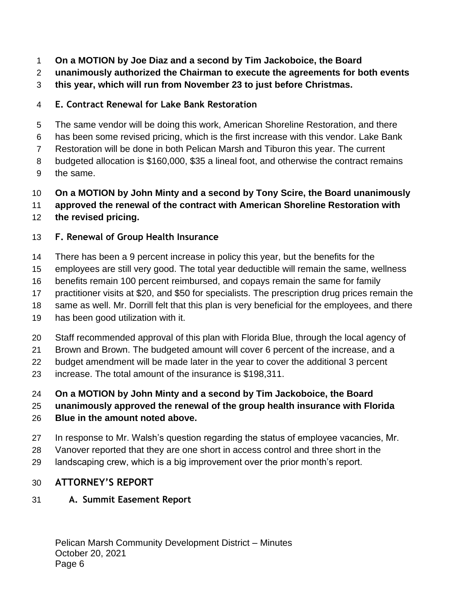- **On a MOTION by Joe Diaz and a second by Tim Jackoboice, the Board**
- **unanimously authorized the Chairman to execute the agreements for both events**
- **this year, which will run from November 23 to just before Christmas.**
- **E. Contract Renewal for Lake Bank Restoration**
- The same vendor will be doing this work, American Shoreline Restoration, and there
- has been some revised pricing, which is the first increase with this vendor. Lake Bank
- Restoration will be done in both Pelican Marsh and Tiburon this year. The current
- budgeted allocation is \$160,000, \$35 a lineal foot, and otherwise the contract remains
- the same.
- **On a MOTION by John Minty and a second by Tony Scire, the Board unanimously**

**approved the renewal of the contract with American Shoreline Restoration with** 

**the revised pricing.** 

### **F. Renewal of Group Health Insurance**

- There has been a 9 percent increase in policy this year, but the benefits for the
- employees are still very good. The total year deductible will remain the same, wellness
- benefits remain 100 percent reimbursed, and copays remain the same for family
- practitioner visits at \$20, and \$50 for specialists. The prescription drug prices remain the
- same as well. Mr. Dorrill felt that this plan is very beneficial for the employees, and there
- has been good utilization with it.
- Staff recommended approval of this plan with Florida Blue, through the local agency of
- Brown and Brown. The budgeted amount will cover 6 percent of the increase, and a
- budget amendment will be made later in the year to cover the additional 3 percent
- increase. The total amount of the insurance is \$198,311.
- **On a MOTION by John Minty and a second by Tim Jackoboice, the Board**

**unanimously approved the renewal of the group health insurance with Florida** 

- **Blue in the amount noted above.**
- In response to Mr. Walsh's question regarding the status of employee vacancies, Mr.
- Vanover reported that they are one short in access control and three short in the
- landscaping crew, which is a big improvement over the prior month's report.

### **ATTORNEY'S REPORT**

### **A. Summit Easement Report**